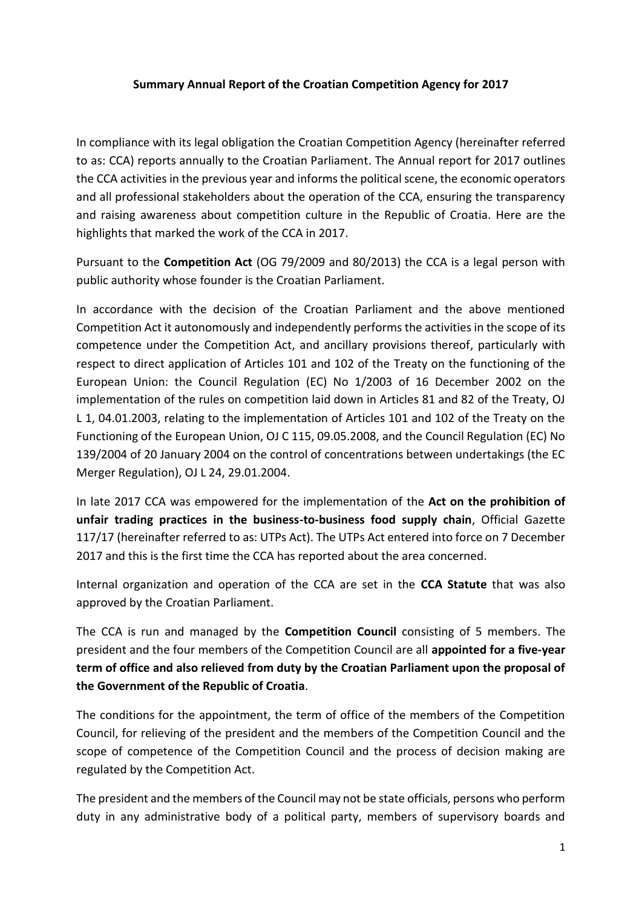## **Summary Annual Report of the Croatian Competition Agency for 2017**

In compliance with its legal obligation the Croatian Competition Agency (hereinafter referred to as: CCA) reports annually to the Croatian Parliament. The Annual report for 2017 outlines the CCA activities in the previous year and informs the political scene, the economic operators and all professional stakeholders about the operation of the CCA, ensuring the transparency and raising awareness about competition culture in the Republic of Croatia. Here are the highlights that marked the work of the CCA in 2017.

Pursuant to the **Competition Act** (OG 79/2009 and 80/2013) the CCA is a legal person with public authority whose founder is the Croatian Parliament.

In accordance with the decision of the Croatian Parliament and the above mentioned Competition Act it autonomously and independently performs the activities in the scope of its competence under the Competition Act, and ancillary provisions thereof, particularly with respect to direct application of Articles 101 and 102 of the Treaty on the functioning of the European Union: the Council Regulation (EC) No 1/2003 of 16 December 2002 on the implementation of the rules on competition laid down in Articles 81 and 82 of the Treaty, OJ L 1, 04.01.2003, relating to the implementation of Articles 101 and 102 of the Treaty on the Functioning of the European Union, OJ C 115, 09.05.2008, and the Council Regulation (EC) No 139/2004 of 20 January 2004 on the control of concentrations between undertakings (the EC Merger Regulation), OJ L 24, 29.01.2004.

In late 2017 CCA was empowered for the implementation of the **Act on the prohibition of unfair trading practices in the business-to-business food supply chain**, Official Gazette 117/17 (hereinafter referred to as: UTPs Act). The UTPs Act entered into force on 7 December 2017 and this is the first time the CCA has reported about the area concerned.

Internal organization and operation of the CCA are set in the **CCA Statute** that was also approved by the Croatian Parliament.

The CCA is run and managed by the **Competition Council** consisting of 5 members. The president and the four members of the Competition Council are all **appointed for a five-year term of office and also relieved from duty by the Croatian Parliament upon the proposal of the Government of the Republic of Croatia**.

The conditions for the appointment, the term of office of the members of the Competition Council, for relieving of the president and the members of the Competition Council and the scope of competence of the Competition Council and the process of decision making are regulated by the Competition Act.

The president and the members of the Council may not be state officials, persons who perform duty in any administrative body of a political party, members of supervisory boards and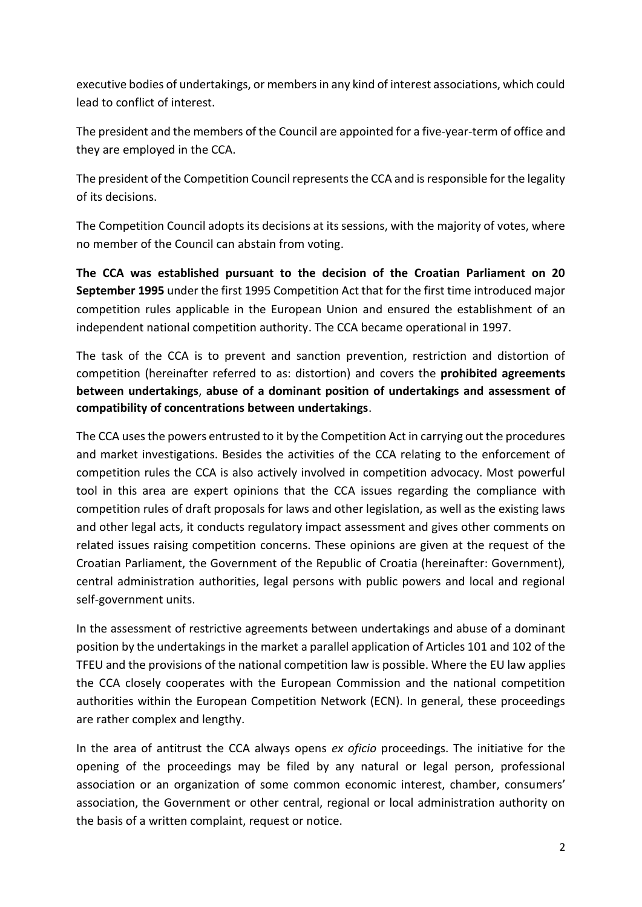executive bodies of undertakings, or members in any kind of interest associations, which could lead to conflict of interest.

The president and the members of the Council are appointed for a five-year-term of office and they are employed in the CCA.

The president of the Competition Council represents the CCA and is responsible for the legality of its decisions.

The Competition Council adopts its decisions at its sessions, with the majority of votes, where no member of the Council can abstain from voting.

**The CCA was established pursuant to the decision of the Croatian Parliament on 20 September 1995** under the first 1995 Competition Act that for the first time introduced major competition rules applicable in the European Union and ensured the establishment of an independent national competition authority. The CCA became operational in 1997.

The task of the CCA is to prevent and sanction prevention, restriction and distortion of competition (hereinafter referred to as: distortion) and covers the **prohibited agreements between undertakings**, **abuse of a dominant position of undertakings and assessment of compatibility of concentrations between undertakings**.

The CCA uses the powers entrusted to it by the Competition Act in carrying out the procedures and market investigations. Besides the activities of the CCA relating to the enforcement of competition rules the CCA is also actively involved in competition advocacy. Most powerful tool in this area are expert opinions that the CCA issues regarding the compliance with competition rules of draft proposals for laws and other legislation, as well as the existing laws and other legal acts, it conducts regulatory impact assessment and gives other comments on related issues raising competition concerns. These opinions are given at the request of the Croatian Parliament, the Government of the Republic of Croatia (hereinafter: Government), central administration authorities, legal persons with public powers and local and regional self-government units.

In the assessment of restrictive agreements between undertakings and abuse of a dominant position by the undertakings in the market a parallel application of Articles 101 and 102 of the TFEU and the provisions of the national competition law is possible. Where the EU law applies the CCA closely cooperates with the European Commission and the national competition authorities within the European Competition Network (ECN). In general, these proceedings are rather complex and lengthy.

In the area of antitrust the CCA always opens *ex oficio* proceedings. The initiative for the opening of the proceedings may be filed by any natural or legal person, professional association or an organization of some common economic interest, chamber, consumers' association, the Government or other central, regional or local administration authority on the basis of a written complaint, request or notice.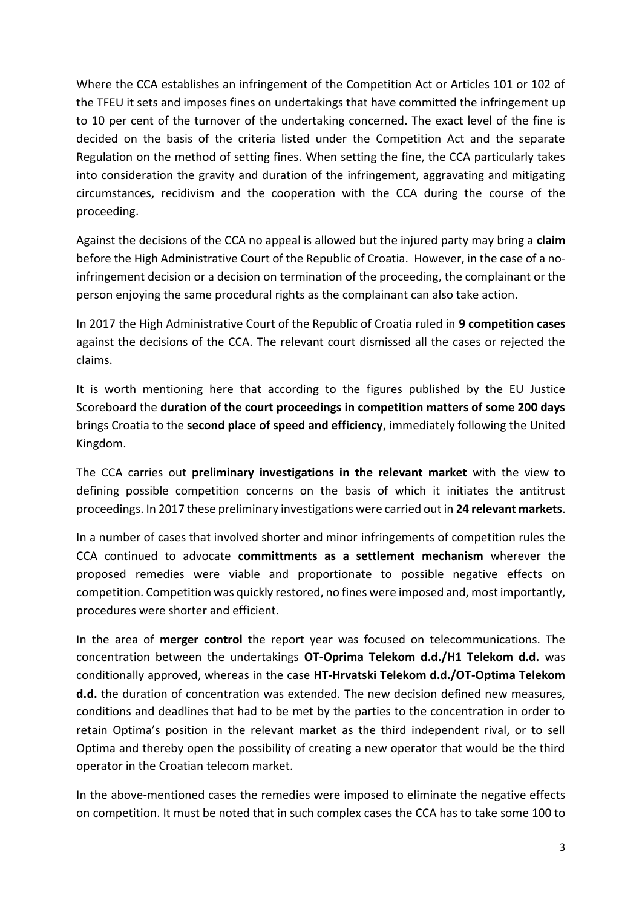Where the CCA establishes an infringement of the Competition Act or Articles 101 or 102 of the TFEU it sets and imposes fines on undertakings that have committed the infringement up to 10 per cent of the turnover of the undertaking concerned. The exact level of the fine is decided on the basis of the criteria listed under the Competition Act and the separate Regulation on the method of setting fines. When setting the fine, the CCA particularly takes into consideration the gravity and duration of the infringement, aggravating and mitigating circumstances, recidivism and the cooperation with the CCA during the course of the proceeding.

Against the decisions of the CCA no appeal is allowed but the injured party may bring a **claim** before the High Administrative Court of the Republic of Croatia. However, in the case of a noinfringement decision or a decision on termination of the proceeding, the complainant or the person enjoying the same procedural rights as the complainant can also take action.

In 2017 the High Administrative Court of the Republic of Croatia ruled in **9 competition cases** against the decisions of the CCA. The relevant court dismissed all the cases or rejected the claims.

It is worth mentioning here that according to the figures published by the EU Justice Scoreboard the **duration of the court proceedings in competition matters of some 200 days** brings Croatia to the **second place of speed and efficiency**, immediately following the United Kingdom.

The CCA carries out **preliminary investigations in the relevant market** with the view to defining possible competition concerns on the basis of which it initiates the antitrust proceedings. In 2017 these preliminary investigations were carried out in **24 relevant markets**.

In a number of cases that involved shorter and minor infringements of competition rules the CCA continued to advocate **committments as a settlement mechanism** wherever the proposed remedies were viable and proportionate to possible negative effects on competition. Competition was quickly restored, no fines were imposed and, most importantly, procedures were shorter and efficient.

In the area of **merger control** the report year was focused on telecommunications. The concentration between the undertakings **OT-Oprima Telekom d.d./H1 Telekom d.d.** was conditionally approved, whereas in the case **HT-Hrvatski Telekom d.d./OT-Optima Telekom d.d.** the duration of concentration was extended. The new decision defined new measures, conditions and deadlines that had to be met by the parties to the concentration in order to retain Optima's position in the relevant market as the third independent rival, or to sell Optima and thereby open the possibility of creating a new operator that would be the third operator in the Croatian telecom market.

In the above-mentioned cases the remedies were imposed to eliminate the negative effects on competition. It must be noted that in such complex cases the CCA has to take some 100 to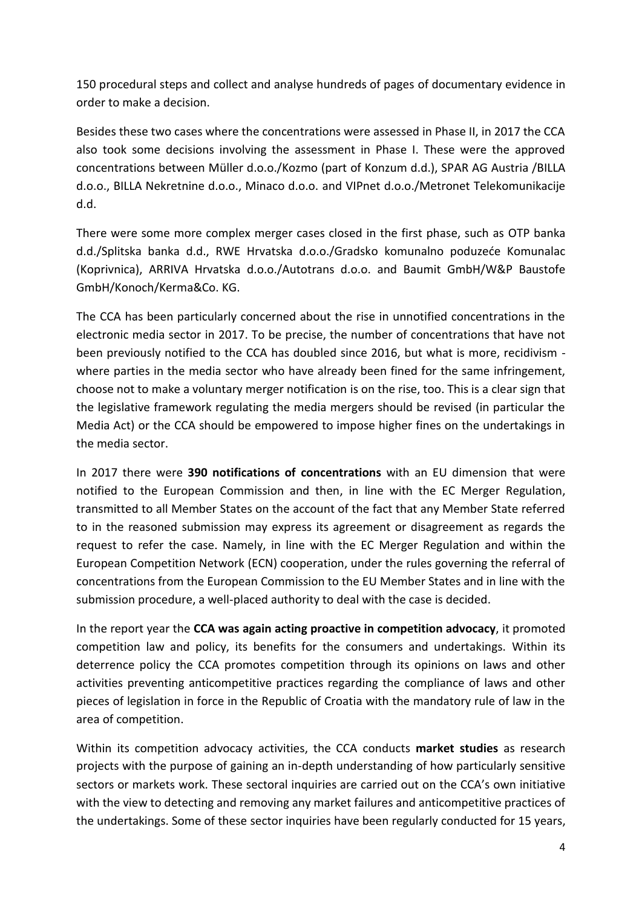150 procedural steps and collect and analyse hundreds of pages of documentary evidence in order to make a decision.

Besides these two cases where the concentrations were assessed in Phase II, in 2017 the CCA also took some decisions involving the assessment in Phase I. These were the approved concentrations between Müller d.o.o./Kozmo (part of Konzum d.d.), SPAR AG Austria /BILLA d.o.o., BILLA Nekretnine d.o.o., Minaco d.o.o. and VIPnet d.o.o./Metronet Telekomunikacije d.d.

There were some more complex merger cases closed in the first phase, such as OTP banka d.d./Splitska banka d.d., RWE Hrvatska d.o.o./Gradsko komunalno poduzeće Komunalac (Koprivnica), ARRIVA Hrvatska d.o.o./Autotrans d.o.o. and Baumit GmbH/W&P Baustofe GmbH/Konoch/Kerma&Co. KG.

The CCA has been particularly concerned about the rise in unnotified concentrations in the electronic media sector in 2017. To be precise, the number of concentrations that have not been previously notified to the CCA has doubled since 2016, but what is more, recidivism where parties in the media sector who have already been fined for the same infringement, choose not to make a voluntary merger notification is on the rise, too. This is a clear sign that the legislative framework regulating the media mergers should be revised (in particular the Media Act) or the CCA should be empowered to impose higher fines on the undertakings in the media sector.

In 2017 there were **390 notifications of concentrations** with an EU dimension that were notified to the European Commission and then, in line with the EC Merger Regulation, transmitted to all Member States on the account of the fact that any Member State referred to in the reasoned submission may express its agreement or disagreement as regards the request to refer the case. Namely, in line with the EC Merger Regulation and within the European Competition Network (ECN) cooperation, under the rules governing the referral of concentrations from the European Commission to the EU Member States and in line with the submission procedure, a well-placed authority to deal with the case is decided.

In the report year the **CCA was again acting proactive in competition advocacy**, it promoted competition law and policy, its benefits for the consumers and undertakings. Within its deterrence policy the CCA promotes competition through its opinions on laws and other activities preventing anticompetitive practices regarding the compliance of laws and other pieces of legislation in force in the Republic of Croatia with the mandatory rule of law in the area of competition.

Within its competition advocacy activities, the CCA conducts **market studies** as research projects with the purpose of gaining an in-depth understanding of how particularly sensitive sectors or markets work. These sectoral inquiries are carried out on the CCA's own initiative with the view to detecting and removing any market failures and anticompetitive practices of the undertakings. Some of these sector inquiries have been regularly conducted for 15 years,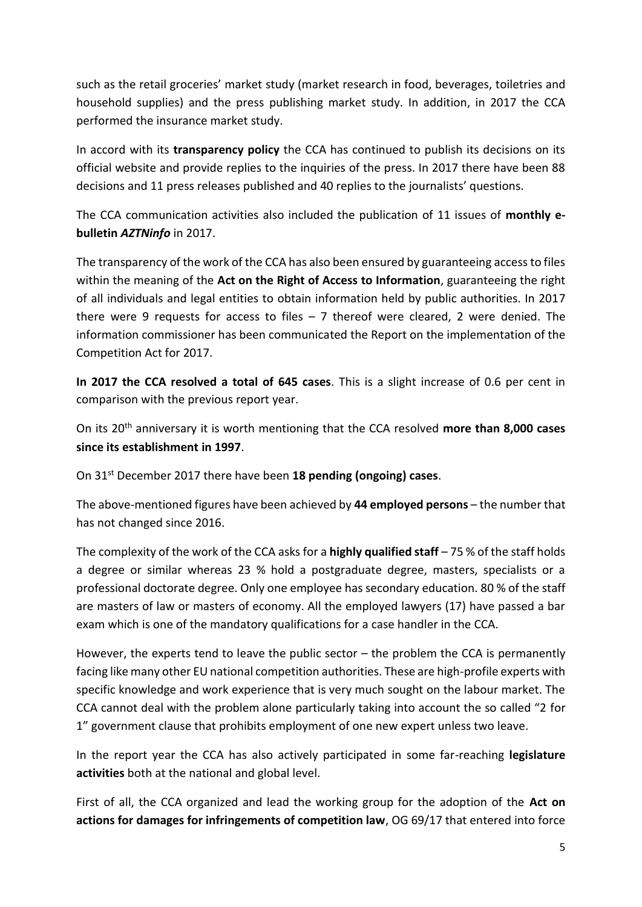such as the retail groceries' market study (market research in food, beverages, toiletries and household supplies) and the press publishing market study. In addition, in 2017 the CCA performed the insurance market study.

In accord with its **transparency policy** the CCA has continued to publish its decisions on its official website and provide replies to the inquiries of the press. In 2017 there have been 88 decisions and 11 press releases published and 40 replies to the journalists' questions.

The CCA communication activities also included the publication of 11 issues of **monthly ebulletin** *AZTNinfo* in 2017.

The transparency of the work of the CCA has also been ensured by guaranteeing access to files within the meaning of the **Act on the Right of Access to Information**, guaranteeing the right of all individuals and legal entities to obtain information held by public authorities. In 2017 there were 9 requests for access to files  $-7$  thereof were cleared, 2 were denied. The information commissioner has been communicated the Report on the implementation of the Competition Act for 2017.

**In 2017 the CCA resolved a total of 645 cases**. This is a slight increase of 0.6 per cent in comparison with the previous report year.

On its 20th anniversary it is worth mentioning that the CCA resolved **more than 8,000 cases since its establishment in 1997**.

On 31st December 2017 there have been **18 pending (ongoing) cases**.

The above-mentioned figures have been achieved by **44 employed persons** – the number that has not changed since 2016.

The complexity of the work of the CCA asks for a **highly qualified staff** – 75 % of the staff holds a degree or similar whereas 23 % hold a postgraduate degree, masters, specialists or a professional doctorate degree. Only one employee has secondary education. 80 % of the staff are masters of law or masters of economy. All the employed lawyers (17) have passed a bar exam which is one of the mandatory qualifications for a case handler in the CCA.

However, the experts tend to leave the public sector – the problem the CCA is permanently facing like many other EU national competition authorities. These are high-profile experts with specific knowledge and work experience that is very much sought on the labour market. The CCA cannot deal with the problem alone particularly taking into account the so called "2 for 1" government clause that prohibits employment of one new expert unless two leave.

In the report year the CCA has also actively participated in some far-reaching **legislature activities** both at the national and global level.

First of all, the CCA organized and lead the working group for the adoption of the **Act on actions for damages for infringements of competition law**, OG 69/17 that entered into force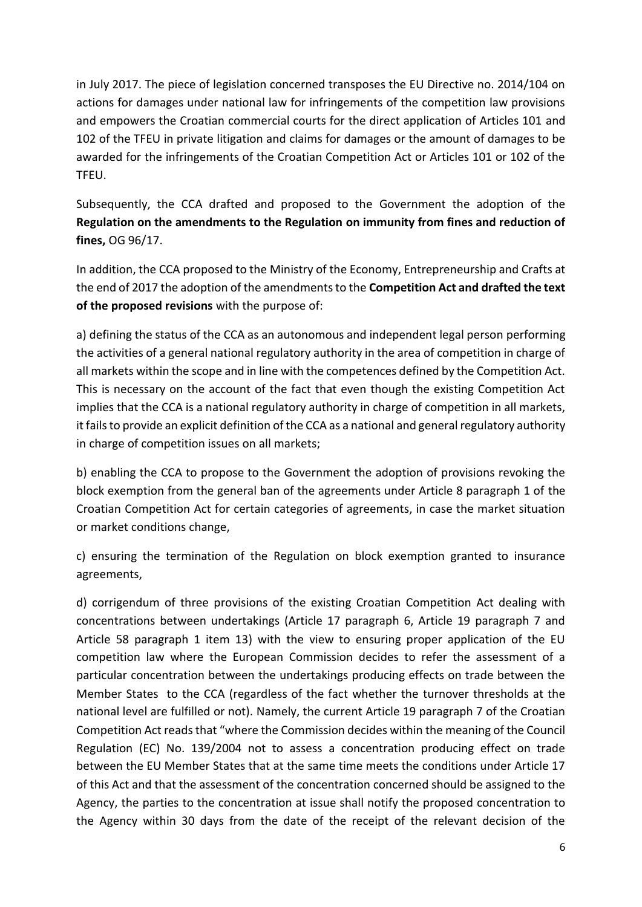in July 2017. The piece of legislation concerned transposes the EU Directive no. 2014/104 on actions for damages under national law for infringements of the competition law provisions and empowers the Croatian commercial courts for the direct application of Articles 101 and 102 of the TFEU in private litigation and claims for damages or the amount of damages to be awarded for the infringements of the Croatian Competition Act or Articles 101 or 102 of the TFEU.

Subsequently, the CCA drafted and proposed to the Government the adoption of the **Regulation on the amendments to the Regulation on immunity from fines and reduction of fines,** OG 96/17.

In addition, the CCA proposed to the Ministry of the Economy, Entrepreneurship and Crafts at the end of 2017 the adoption of the amendments to the **Competition Act and drafted the text of the proposed revisions** with the purpose of:

a) defining the status of the CCA as an autonomous and independent legal person performing the activities of a general national regulatory authority in the area of competition in charge of all markets within the scope and in line with the competences defined by the Competition Act. This is necessary on the account of the fact that even though the existing Competition Act implies that the CCA is a national regulatory authority in charge of competition in all markets, it fails to provide an explicit definition of the CCA as a national and general regulatory authority in charge of competition issues on all markets;

b) enabling the CCA to propose to the Government the adoption of provisions revoking the block exemption from the general ban of the agreements under Article 8 paragraph 1 of the Croatian Competition Act for certain categories of agreements, in case the market situation or market conditions change,

c) ensuring the termination of the Regulation on block exemption granted to insurance agreements,

d) corrigendum of three provisions of the existing Croatian Competition Act dealing with concentrations between undertakings (Article 17 paragraph 6, Article 19 paragraph 7 and Article 58 paragraph 1 item 13) with the view to ensuring proper application of the EU competition law where the European Commission decides to refer the assessment of a particular concentration between the undertakings producing effects on trade between the Member States to the CCA (regardless of the fact whether the turnover thresholds at the national level are fulfilled or not). Namely, the current Article 19 paragraph 7 of the Croatian Competition Act reads that "where the Commission decides within the meaning of the Council Regulation (EC) No. 139/2004 not to assess a concentration producing effect on trade between the EU Member States that at the same time meets the conditions under Article 17 of this Act and that the assessment of the concentration concerned should be assigned to the Agency, the parties to the concentration at issue shall notify the proposed concentration to the Agency within 30 days from the date of the receipt of the relevant decision of the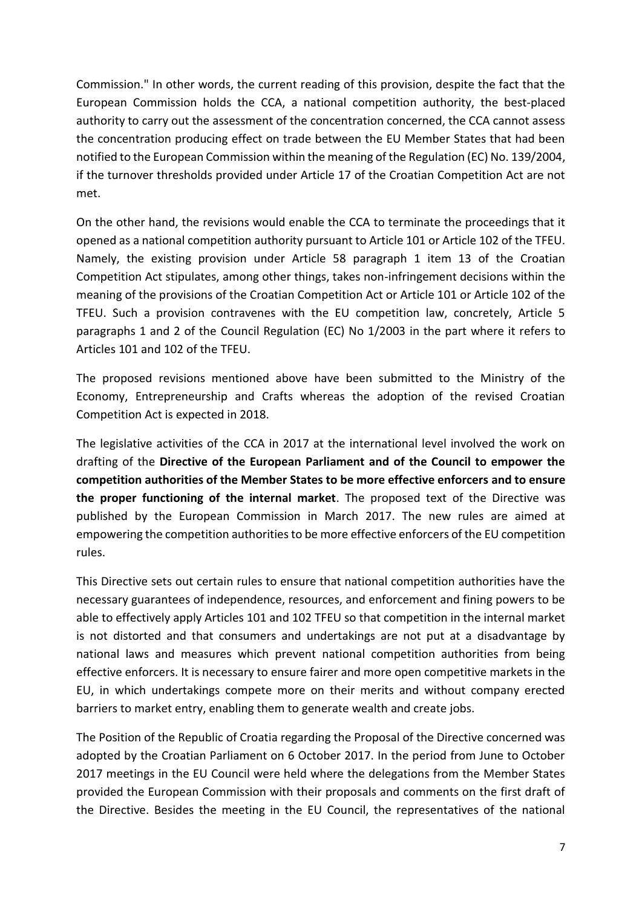Commission." In other words, the current reading of this provision, despite the fact that the European Commission holds the CCA, a national competition authority, the best-placed authority to carry out the assessment of the concentration concerned, the CCA cannot assess the concentration producing effect on trade between the EU Member States that had been notified to the European Commission within the meaning of the Regulation (EC) No. 139/2004, if the turnover thresholds provided under Article 17 of the Croatian Competition Act are not met.

On the other hand, the revisions would enable the CCA to terminate the proceedings that it opened as a national competition authority pursuant to Article 101 or Article 102 of the TFEU. Namely, the existing provision under Article 58 paragraph 1 item 13 of the Croatian Competition Act stipulates, among other things, takes non-infringement decisions within the meaning of the provisions of the Croatian Competition Act or Article 101 or Article 102 of the TFEU. Such a provision contravenes with the EU competition law, concretely, Article 5 paragraphs 1 and 2 of the Council Regulation (EC) No 1/2003 in the part where it refers to Articles 101 and 102 of the TFEU.

The proposed revisions mentioned above have been submitted to the Ministry of the Economy, Entrepreneurship and Crafts whereas the adoption of the revised Croatian Competition Act is expected in 2018.

The legislative activities of the CCA in 2017 at the international level involved the work on drafting of the **Directive of the European Parliament and of the Council to empower the competition authorities of the Member States to be more effective enforcers and to ensure the proper functioning of the internal market**. The proposed text of the Directive was published by the European Commission in March 2017. The new rules are aimed at empowering the competition authorities to be more effective enforcers of the EU competition rules.

This Directive sets out certain rules to ensure that national competition authorities have the necessary guarantees of independence, resources, and enforcement and fining powers to be able to effectively apply Articles 101 and 102 TFEU so that competition in the internal market is not distorted and that consumers and undertakings are not put at a disadvantage by national laws and measures which prevent national competition authorities from being effective enforcers. It is necessary to ensure fairer and more open competitive markets in the EU, in which undertakings compete more on their merits and without company erected barriers to market entry, enabling them to generate wealth and create jobs.

The Position of the Republic of Croatia regarding the Proposal of the Directive concerned was adopted by the Croatian Parliament on 6 October 2017. In the period from June to October 2017 meetings in the EU Council were held where the delegations from the Member States provided the European Commission with their proposals and comments on the first draft of the Directive. Besides the meeting in the EU Council, the representatives of the national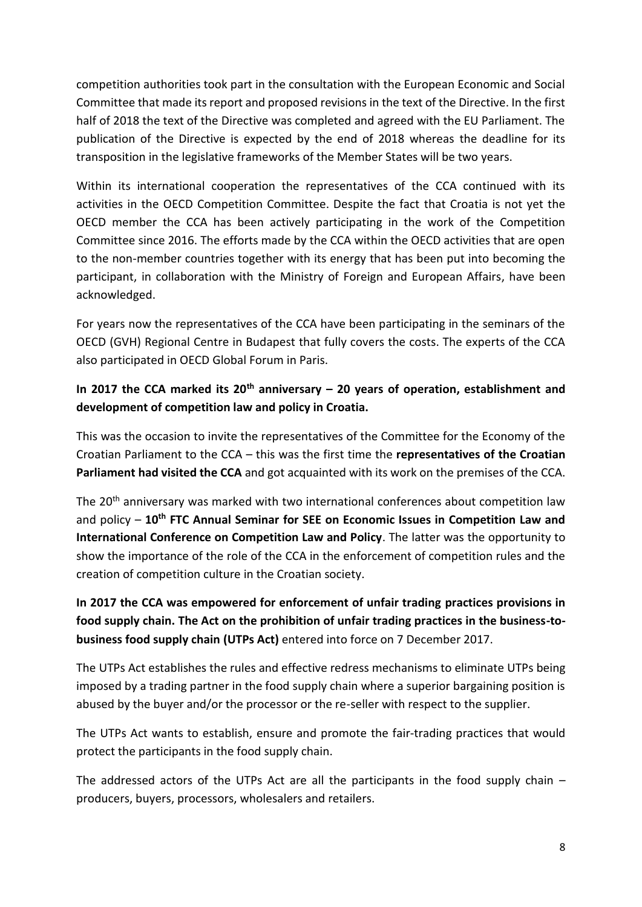competition authorities took part in the consultation with the European Economic and Social Committee that made its report and proposed revisions in the text of the Directive. In the first half of 2018 the text of the Directive was completed and agreed with the EU Parliament. The publication of the Directive is expected by the end of 2018 whereas the deadline for its transposition in the legislative frameworks of the Member States will be two years.

Within its international cooperation the representatives of the CCA continued with its activities in the OECD Competition Committee. Despite the fact that Croatia is not yet the OECD member the CCA has been actively participating in the work of the Competition Committee since 2016. The efforts made by the CCA within the OECD activities that are open to the non-member countries together with its energy that has been put into becoming the participant, in collaboration with the Ministry of Foreign and European Affairs, have been acknowledged.

For years now the representatives of the CCA have been participating in the seminars of the OECD (GVH) Regional Centre in Budapest that fully covers the costs. The experts of the CCA also participated in OECD Global Forum in Paris.

## **In 2017 the CCA marked its 20th anniversary – 20 years of operation, establishment and development of competition law and policy in Croatia.**

This was the occasion to invite the representatives of the Committee for the Economy of the Croatian Parliament to the CCA – this was the first time the **representatives of the Croatian Parliament had visited the CCA** and got acquainted with its work on the premises of the CCA.

The 20<sup>th</sup> anniversary was marked with two international conferences about competition law and policy – **10th FTC Annual Seminar for SEE on Economic Issues in Competition Law and International Conference on Competition Law and Policy**. The latter was the opportunity to show the importance of the role of the CCA in the enforcement of competition rules and the creation of competition culture in the Croatian society.

## **In 2017 the CCA was empowered for enforcement of unfair trading practices provisions in food supply chain. The Act on the prohibition of unfair trading practices in the business-tobusiness food supply chain (UTPs Act)** entered into force on 7 December 2017.

The UTPs Act establishes the rules and effective redress mechanisms to eliminate UTPs being imposed by a trading partner in the food supply chain where a superior bargaining position is abused by the buyer and/or the processor or the re-seller with respect to the supplier.

The UTPs Act wants to establish, ensure and promote the fair-trading practices that would protect the participants in the food supply chain.

The addressed actors of the UTPs Act are all the participants in the food supply chain  $$ producers, buyers, processors, wholesalers and retailers.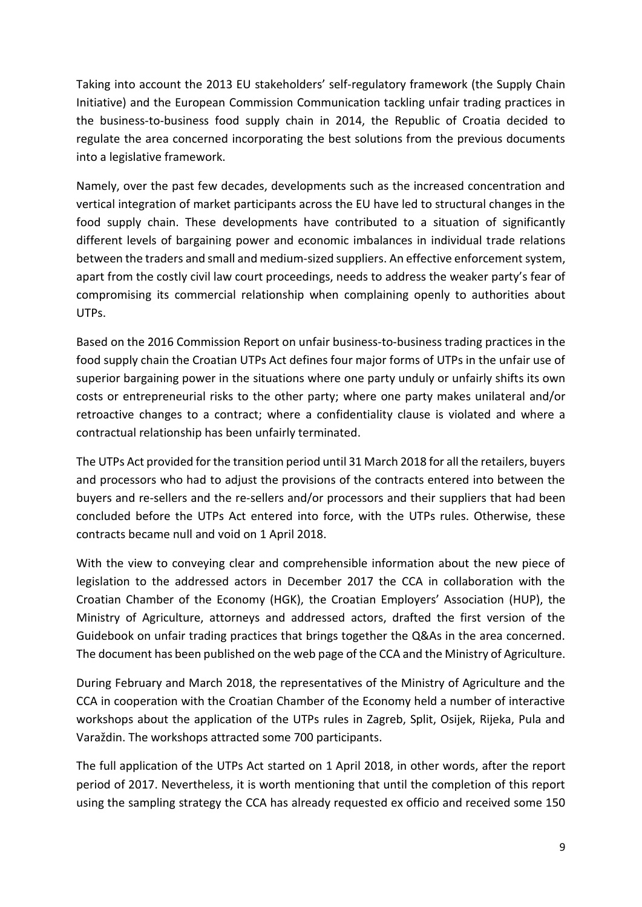Taking into account the 2013 EU stakeholders' self-regulatory framework (the Supply Chain Initiative) and the European Commission Communication tackling unfair trading practices in the business-to-business food supply chain in 2014, the Republic of Croatia decided to regulate the area concerned incorporating the best solutions from the previous documents into a legislative framework.

Namely, over the past few decades, developments such as the increased concentration and vertical integration of market participants across the EU have led to structural changes in the food supply chain. These developments have contributed to a situation of significantly different levels of bargaining power and economic imbalances in individual trade relations between the traders and small and medium-sized suppliers. An effective enforcement system, apart from the costly civil law court proceedings, needs to address the weaker party's fear of compromising its commercial relationship when complaining openly to authorities about UTPs.

Based on the 2016 Commission Report on unfair business-to-business trading practices in the food supply chain the Croatian UTPs Act defines four major forms of UTPs in the unfair use of superior bargaining power in the situations where one party unduly or unfairly shifts its own costs or entrepreneurial risks to the other party; where one party makes unilateral and/or retroactive changes to a contract; where a confidentiality clause is violated and where a contractual relationship has been unfairly terminated.

The UTPs Act provided for the transition period until 31 March 2018 for all the retailers, buyers and processors who had to adjust the provisions of the contracts entered into between the buyers and re-sellers and the re-sellers and/or processors and their suppliers that had been concluded before the UTPs Act entered into force, with the UTPs rules. Otherwise, these contracts became null and void on 1 April 2018.

With the view to conveying clear and comprehensible information about the new piece of legislation to the addressed actors in December 2017 the CCA in collaboration with the Croatian Chamber of the Economy (HGK), the Croatian Employers' Association (HUP), the Ministry of Agriculture, attorneys and addressed actors, drafted the first version of the Guidebook on unfair trading practices that brings together the Q&As in the area concerned. The document has been published on the web page of the CCA and the Ministry of Agriculture.

During February and March 2018, the representatives of the Ministry of Agriculture and the CCA in cooperation with the Croatian Chamber of the Economy held a number of interactive workshops about the application of the UTPs rules in Zagreb, Split, Osijek, Rijeka, Pula and Varaždin. The workshops attracted some 700 participants.

The full application of the UTPs Act started on 1 April 2018, in other words, after the report period of 2017. Nevertheless, it is worth mentioning that until the completion of this report using the sampling strategy the CCA has already requested ex officio and received some 150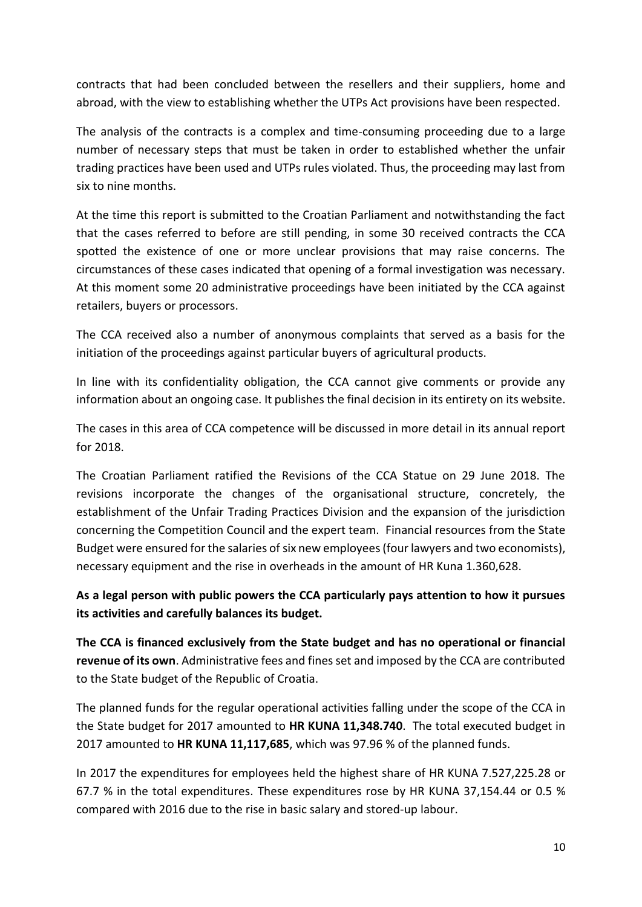contracts that had been concluded between the resellers and their suppliers, home and abroad, with the view to establishing whether the UTPs Act provisions have been respected.

The analysis of the contracts is a complex and time-consuming proceeding due to a large number of necessary steps that must be taken in order to established whether the unfair trading practices have been used and UTPs rules violated. Thus, the proceeding may last from six to nine months.

At the time this report is submitted to the Croatian Parliament and notwithstanding the fact that the cases referred to before are still pending, in some 30 received contracts the CCA spotted the existence of one or more unclear provisions that may raise concerns. The circumstances of these cases indicated that opening of a formal investigation was necessary. At this moment some 20 administrative proceedings have been initiated by the CCA against retailers, buyers or processors.

The CCA received also a number of anonymous complaints that served as a basis for the initiation of the proceedings against particular buyers of agricultural products.

In line with its confidentiality obligation, the CCA cannot give comments or provide any information about an ongoing case. It publishes the final decision in its entirety on its website.

The cases in this area of CCA competence will be discussed in more detail in its annual report for 2018.

The Croatian Parliament ratified the Revisions of the CCA Statue on 29 June 2018. The revisions incorporate the changes of the organisational structure, concretely, the establishment of the Unfair Trading Practices Division and the expansion of the jurisdiction concerning the Competition Council and the expert team. Financial resources from the State Budget were ensured for the salaries of six new employees (four lawyers and two economists), necessary equipment and the rise in overheads in the amount of HR Kuna 1.360,628.

**As a legal person with public powers the CCA particularly pays attention to how it pursues its activities and carefully balances its budget.** 

**The CCA is financed exclusively from the State budget and has no operational or financial revenue of its own**. Administrative fees and fines set and imposed by the CCA are contributed to the State budget of the Republic of Croatia.

The planned funds for the regular operational activities falling under the scope of the CCA in the State budget for 2017 amounted to **HR KUNA 11,348.740**. The total executed budget in 2017 amounted to **HR KUNA 11,117,685**, which was 97.96 % of the planned funds.

In 2017 the expenditures for employees held the highest share of HR KUNA 7.527,225.28 or 67.7 % in the total expenditures. These expenditures rose by HR KUNA 37,154.44 or 0.5 % compared with 2016 due to the rise in basic salary and stored-up labour.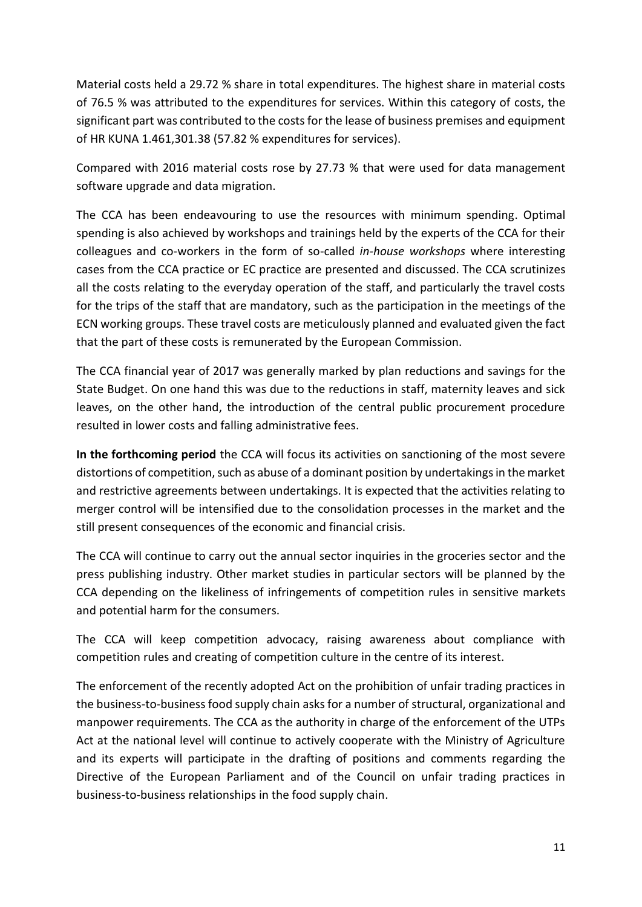Material costs held a 29.72 % share in total expenditures. The highest share in material costs of 76.5 % was attributed to the expenditures for services. Within this category of costs, the significant part was contributed to the costs for the lease of business premises and equipment of HR KUNA 1.461,301.38 (57.82 % expenditures for services).

Compared with 2016 material costs rose by 27.73 % that were used for data management software upgrade and data migration.

The CCA has been endeavouring to use the resources with minimum spending. Optimal spending is also achieved by workshops and trainings held by the experts of the CCA for their colleagues and co-workers in the form of so-called *in-house workshops* where interesting cases from the CCA practice or EC practice are presented and discussed. The CCA scrutinizes all the costs relating to the everyday operation of the staff, and particularly the travel costs for the trips of the staff that are mandatory, such as the participation in the meetings of the ECN working groups. These travel costs are meticulously planned and evaluated given the fact that the part of these costs is remunerated by the European Commission.

The CCA financial year of 2017 was generally marked by plan reductions and savings for the State Budget. On one hand this was due to the reductions in staff, maternity leaves and sick leaves, on the other hand, the introduction of the central public procurement procedure resulted in lower costs and falling administrative fees.

**In the forthcoming period** the CCA will focus its activities on sanctioning of the most severe distortions of competition, such as abuse of a dominant position by undertakings in the market and restrictive agreements between undertakings. It is expected that the activities relating to merger control will be intensified due to the consolidation processes in the market and the still present consequences of the economic and financial crisis.

The CCA will continue to carry out the annual sector inquiries in the groceries sector and the press publishing industry. Other market studies in particular sectors will be planned by the CCA depending on the likeliness of infringements of competition rules in sensitive markets and potential harm for the consumers.

The CCA will keep competition advocacy, raising awareness about compliance with competition rules and creating of competition culture in the centre of its interest.

The enforcement of the recently adopted Act on the prohibition of unfair trading practices in the business-to-business food supply chain asks for a number of structural, organizational and manpower requirements. The CCA as the authority in charge of the enforcement of the UTPs Act at the national level will continue to actively cooperate with the Ministry of Agriculture and its experts will participate in the drafting of positions and comments regarding the Directive of the European Parliament and of the Council on unfair trading practices in business-to-business relationships in the food supply chain.